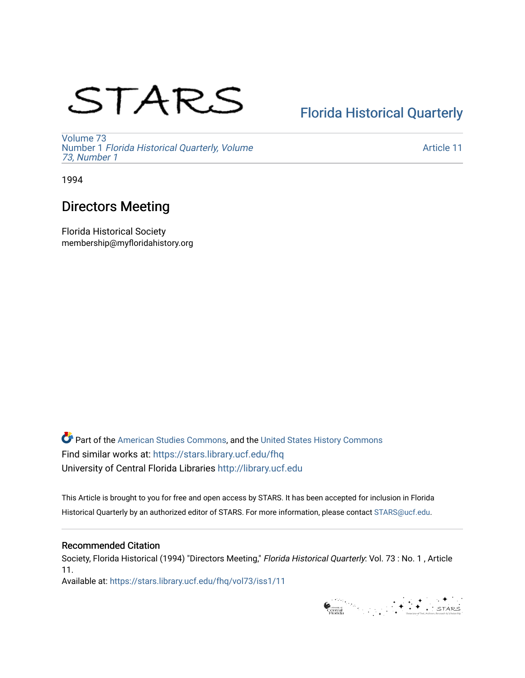# STARS

## [Florida Historical Quarterly](https://stars.library.ucf.edu/fhq)

[Volume 73](https://stars.library.ucf.edu/fhq/vol73) Number 1 [Florida Historical Quarterly, Volume](https://stars.library.ucf.edu/fhq/vol73/iss1)  [73, Number 1](https://stars.library.ucf.edu/fhq/vol73/iss1)

[Article 11](https://stars.library.ucf.edu/fhq/vol73/iss1/11) 

1994

### Directors Meeting

Florida Historical Society membership@myfloridahistory.org

**C** Part of the [American Studies Commons](http://network.bepress.com/hgg/discipline/439?utm_source=stars.library.ucf.edu%2Ffhq%2Fvol73%2Fiss1%2F11&utm_medium=PDF&utm_campaign=PDFCoverPages), and the United States History Commons Find similar works at: <https://stars.library.ucf.edu/fhq> University of Central Florida Libraries [http://library.ucf.edu](http://library.ucf.edu/) 

This Article is brought to you for free and open access by STARS. It has been accepted for inclusion in Florida Historical Quarterly by an authorized editor of STARS. For more information, please contact [STARS@ucf.edu.](mailto:STARS@ucf.edu)

#### Recommended Citation

Society, Florida Historical (1994) "Directors Meeting," Florida Historical Quarterly: Vol. 73 : No. 1 , Article 11.

Available at: [https://stars.library.ucf.edu/fhq/vol73/iss1/11](https://stars.library.ucf.edu/fhq/vol73/iss1/11?utm_source=stars.library.ucf.edu%2Ffhq%2Fvol73%2Fiss1%2F11&utm_medium=PDF&utm_campaign=PDFCoverPages)

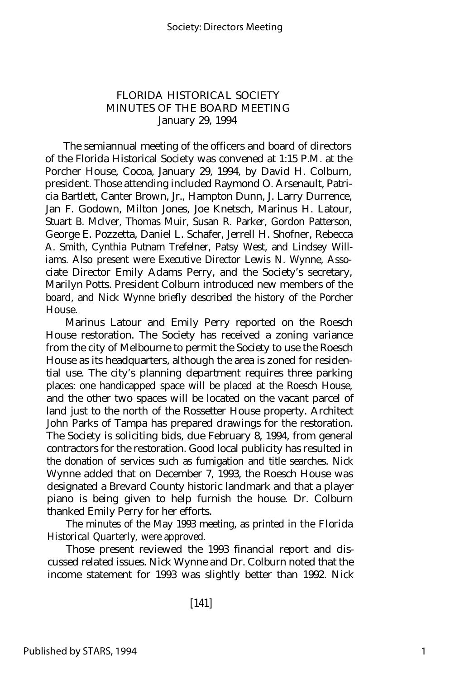#### FLORIDA HISTORICAL SOCIETY MINUTES OF THE BOARD MEETING January 29, 1994

The semiannual meeting of the officers and board of directors of the Florida Historical Society was convened at 1:15 P.M. at the Porcher House, Cocoa, January 29, 1994, by David H. Colburn, president. Those attending included Raymond O. Arsenault, Patricia Bartlett, Canter Brown, Jr., Hampton Dunn, J. Larry Durrence, Jan F. Godown, Milton Jones, Joe Knetsch, Marinus H. Latour, Stuart B. McIver, Thomas Muir, Susan R. Parker, Gordon Patterson, George E. Pozzetta, Daniel L. Schafer, Jerrell H. Shofner, Rebecca A. Smith, Cynthia Putnam Trefelner, Patsy West, and Lindsey Williams. Also present were Executive Director Lewis N. Wynne, Associate Director Emily Adams Perry, and the Society's secretary, Marilyn Potts. President Colburn introduced new members of the board, and Nick Wynne briefly described the history of the Porcher House.

Marinus Latour and Emily Perry reported on the Roesch House restoration. The Society has received a zoning variance from the city of Melbourne to permit the Society to use the Roesch House as its headquarters, although the area is zoned for residential use. The city's planning department requires three parking places: one handicapped space will be placed at the Roesch House, and the other two spaces will be located on the vacant parcel of land just to the north of the Rossetter House property. Architect John Parks of Tampa has prepared drawings for the restoration. The Society is soliciting bids, due February 8, 1994, from general contractors for the restoration. Good local publicity has resulted in the donation of services such as fumigation and title searches. Nick Wynne added that on December 7, 1993, the Roesch House was designated a Brevard County historic landmark and that a player piano is being given to help furnish the house. Dr. Colburn thanked Emily Perry for her efforts.

The minutes of the May 1993 meeting, as printed in the *Florida Historical Quarterly,* were approved.

Those present reviewed the 1993 financial report and discussed related issues. Nick Wynne and Dr. Colburn noted that the income statement for 1993 was slightly better than 1992. Nick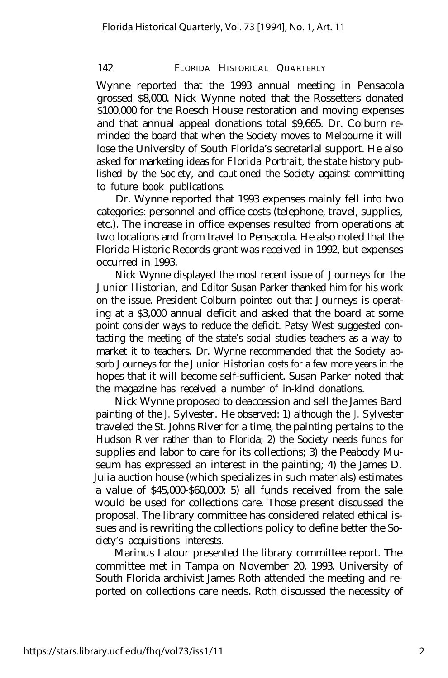#### 142 FLORIDA HISTORICAL QUARTERLY

Wynne reported that the 1993 annual meeting in Pensacola grossed \$8,000. Nick Wynne noted that the Rossetters donated \$100,000 for the Roesch House restoration and moving expenses and that annual appeal donations total \$9,665. Dr. Colburn reminded the board that when the Society moves to Melbourne it will lose the University of South Florida's secretarial support. He also asked for marketing ideas for *Florida Portrait,* the state history published by the Society, and cautioned the Society against committing to future book publications.

Dr. Wynne reported that 1993 expenses mainly fell into two categories: personnel and office costs (telephone, travel, supplies, etc.). The increase in office expenses resulted from operations at two locations and from travel to Pensacola. He also noted that the Florida Historic Records grant was received in 1992, but expenses occurred in 1993.

Nick Wynne displayed the most recent issue of *Journeys for the Junior Historian,* and Editor Susan Parker thanked him for his work on the issue. President Colburn pointed out that *Journeys* is operating at a \$3,000 annual deficit and asked that the board at some point consider ways to reduce the deficit. Patsy West suggested contacting the meeting of the state's social studies teachers as a way to market it to teachers. Dr. Wynne recommended that the Society absorb *Journeys for the Junior Historian* costs for a few more years in the hopes that it will become self-sufficient. Susan Parker noted that the magazine has received a number of in-kind donations.

Nick Wynne proposed to deaccession and sell the James Bard painting of the *J. Sylvester.* He observed: 1) although the *J. Sylvester* traveled the St. Johns River for a time, the painting pertains to the Hudson River rather than to Florida; 2) the Society needs funds for supplies and labor to care for its collections; 3) the Peabody Museum has expressed an interest in the painting; 4) the James D. Julia auction house (which specializes in such materials) estimates a value of \$45,000-\$60,000; 5) all funds received from the sale would be used for collections care. Those present discussed the proposal. The library committee has considered related ethical issues and is rewriting the collections policy to define better the Society's acquisitions interests.

Marinus Latour presented the library committee report. The committee met in Tampa on November 20, 1993. University of South Florida archivist James Roth attended the meeting and reported on collections care needs. Roth discussed the necessity of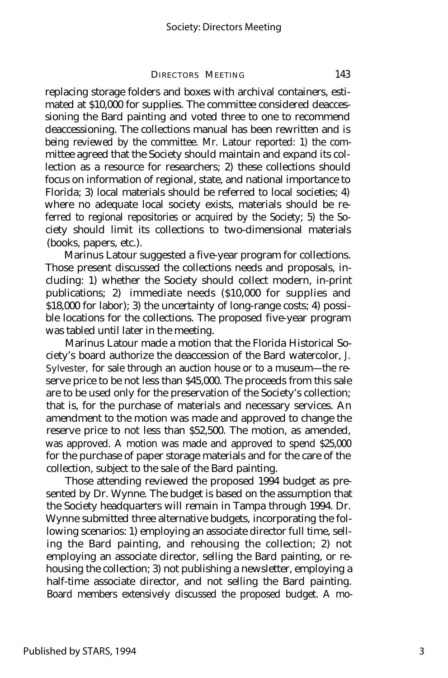DIRECTORS MEETING 143

replacing storage folders and boxes with archival containers, estimated at \$10,000 for supplies. The committee considered deaccessioning the Bard painting and voted three to one to recommend deaccessioning. The collections manual has been rewritten and is being reviewed by the committee. Mr. Latour reported: 1) the committee agreed that the Society should maintain and expand its collection as a resource for researchers; 2) these collections should focus on information of regional, state, and national importance to Florida; 3) local materials should be referred to local societies; 4) where no adequate local society exists, materials should be referred to regional repositories or acquired by the Society; 5) the Society should limit its collections to two-dimensional materials (books, papers, etc.).

Marinus Latour suggested a five-year program for collections. Those present discussed the collections needs and proposals, including: 1) whether the Society should collect modern, in-print publications; 2) immediate needs (\$10,000 for supplies and \$18,000 for labor); 3) the uncertainty of long-range costs; 4) possible locations for the collections. The proposed five-year program was tabled until later in the meeting.

Marinus Latour made a motion that the Florida Historical Society's board authorize the deaccession of the Bard watercolor, *J. Sylvester,* for sale through an auction house or to a museum— the reserve price to be not less than \$45,000. The proceeds from this sale are to be used only for the preservation of the Society's collection; that is, for the purchase of materials and necessary services. An amendment to the motion was made and approved to change the reserve price to not less than \$52,500. The motion, as amended, was approved. A motion was made and approved to spend \$25,000 for the purchase of paper storage materials and for the care of the collection, subject to the sale of the Bard painting.

Those attending reviewed the proposed 1994 budget as presented by Dr. Wynne. The budget is based on the assumption that the Society headquarters will remain in Tampa through 1994. Dr. Wynne submitted three alternative budgets, incorporating the following scenarios: 1) employing an associate director full time, selling the Bard painting, and rehousing the collection; 2) not employing an associate director, selling the Bard painting, or rehousing the collection; 3) not publishing a newsletter, employing a half-time associate director, and not selling the Bard painting. Board members extensively discussed the proposed budget. A mo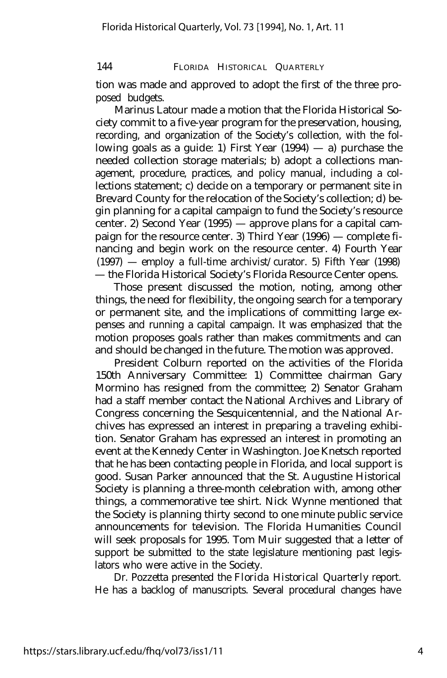144 FLORIDA HISTORICAL QUARTERLY

tion was made and approved to adopt the first of the three proposed budgets.

Marinus Latour made a motion that the Florida Historical Society commit to a five-year program for the preservation, housing, recording, and organization of the Society's collection, with the following goals as a guide: 1) First Year (1994) — a) purchase the needed collection storage materials; b) adopt a collections management, procedure, practices, and policy manual, including a collections statement; c) decide on a temporary or permanent site in Brevard County for the relocation of the Society's collection; d) begin planning for a capital campaign to fund the Society's resource center. 2) Second Year (1995) — approve plans for a capital campaign for the resource center. 3) Third Year (1996) — complete financing and begin work on the resource center. 4) Fourth Year (1997) — employ a full-time archivist/curator. 5) Fifth Year (1998) — the Florida Historical Society's Florida Resource Center opens.

Those present discussed the motion, noting, among other things, the need for flexibility, the ongoing search for a temporary or permanent site, and the implications of committing large expenses and running a capital campaign. It was emphasized that the motion proposes goals rather than makes commitments and can and should be changed in the future. The motion was approved.

President Colburn reported on the activities of the Florida 150th Anniversary Committee: 1) Committee chairman Gary Mormino has resigned from the committee; 2) Senator Graham had a staff member contact the National Archives and Library of Congress concerning the Sesquicentennial, and the National Archives has expressed an interest in preparing a traveling exhibition. Senator Graham has expressed an interest in promoting an event at the Kennedy Center in Washington. Joe Knetsch reported that he has been contacting people in Florida, and local support is good. Susan Parker announced that the St. Augustine Historical Society is planning a three-month celebration with, among other things, a commemorative tee shirt. Nick Wynne mentioned that the Society is planning thirty second to one minute public service announcements for television. The Florida Humanities Council will seek proposals for 1995. Tom Muir suggested that a letter of support be submitted to the state legislature mentioning past legislators who were active in the Society.

Dr. Pozzetta presented the *Florida Historical Quarterly* report. He has a backlog of manuscripts. Several procedural changes have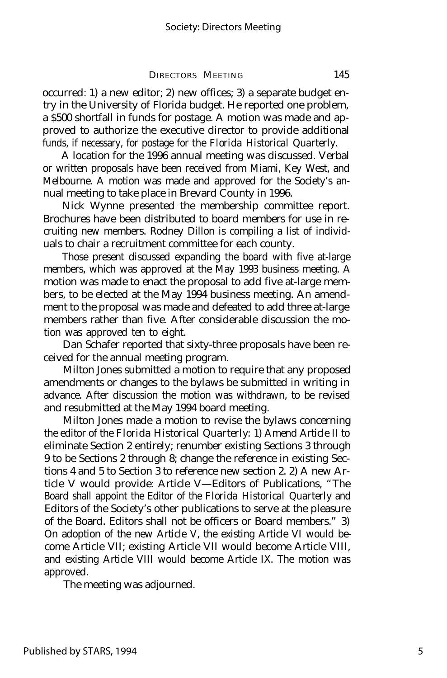#### DIRECTORS MEETING 145

occurred: 1) a new editor; 2) new offices; 3) a separate budget entry in the University of Florida budget. He reported one problem, a \$500 shortfall in funds for postage. A motion was made and approved to authorize the executive director to provide additional funds, if necessary, for postage for the *Florida Historical Quarterly.*

A location for the 1996 annual meeting was discussed. Verbal or written proposals have been received from Miami, Key West, and Melbourne. A motion was made and approved for the Society's annual meeting to take place in Brevard County in 1996.

Nick Wynne presented the membership committee report. Brochures have been distributed to board members for use in recruiting new members. Rodney Dillon is compiling a list of individuals to chair a recruitment committee for each county.

Those present discussed expanding the board with five at-large members, which was approved at the May 1993 business meeting. A motion was made to enact the proposal to add five at-large members, to be elected at the May 1994 business meeting. An amendment to the proposal was made and defeated to add three at-large members rather than five. After considerable discussion the motion was approved ten to eight.

Dan Schafer reported that sixty-three proposals have been received for the annual meeting program.

Milton Jones submitted a motion to require that any proposed amendments or changes to the bylaws be submitted in writing in advance. After discussion the motion was withdrawn, to be revised and resubmitted at the May 1994 board meeting.

Milton Jones made a motion to revise the bylaws concerning the editor of the *Florida Historical Quarterly:* 1) Amend Article II to eliminate Section 2 entirely; renumber existing Sections 3 through 9 to be Sections 2 through 8; change the reference in existing Sections 4 and 5 to Section 3 to reference new section 2. 2) A new Article V would provide: Article V— Editors of Publications, "The Board shall appoint the Editor of the *Florida Historical Quarterly* and Editors of the Society's other publications to serve at the pleasure of the Board. Editors shall not be officers or Board members." 3) On adoption of the new Article V, the existing Article VI would become Article VII; existing Article VII would become Article VIII, and existing Article VIII would become Article IX. The motion was approved.

The meeting was adjourned.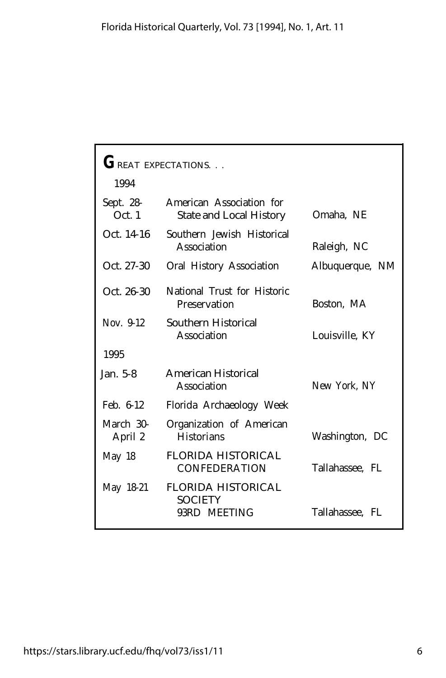| GREAT EXPECTATIONS.  |                                                             |                 |
|----------------------|-------------------------------------------------------------|-----------------|
| 1994                 |                                                             |                 |
| Sept. 28-<br>Oct.1   | American Association for<br><b>State and Local History</b>  | Omaha, NE       |
| Oct. 14-16           | Southern Jewish Historical<br>Association                   | Raleigh, NC     |
| Oct. 27-30           | Oral History Association                                    | Albuquerque, NM |
| Oct. 26-30           | National Trust for Historic<br>Preservation                 | Boston, MA      |
| Nov. 9-12            | Southern Historical<br>Association                          | Louisville, KY  |
| 1995                 |                                                             |                 |
| Jan. 5-8             | <b>American Historical</b><br>Association                   | New York, NY    |
| Feb. 6-12            | Florida Archaeology Week                                    |                 |
| March 30-<br>April 2 | Organization of American<br><b>Historians</b>               | Washington, DC  |
| May 18               | <b>FLORIDA HISTORICAL</b><br><b>CONFEDERATION</b>           | Tallahassee, FL |
| May 18-21            | <b>FLORIDA HISTORICAL</b><br><b>SOCIETY</b><br>93RD MEETING | Tallahassee, FL |